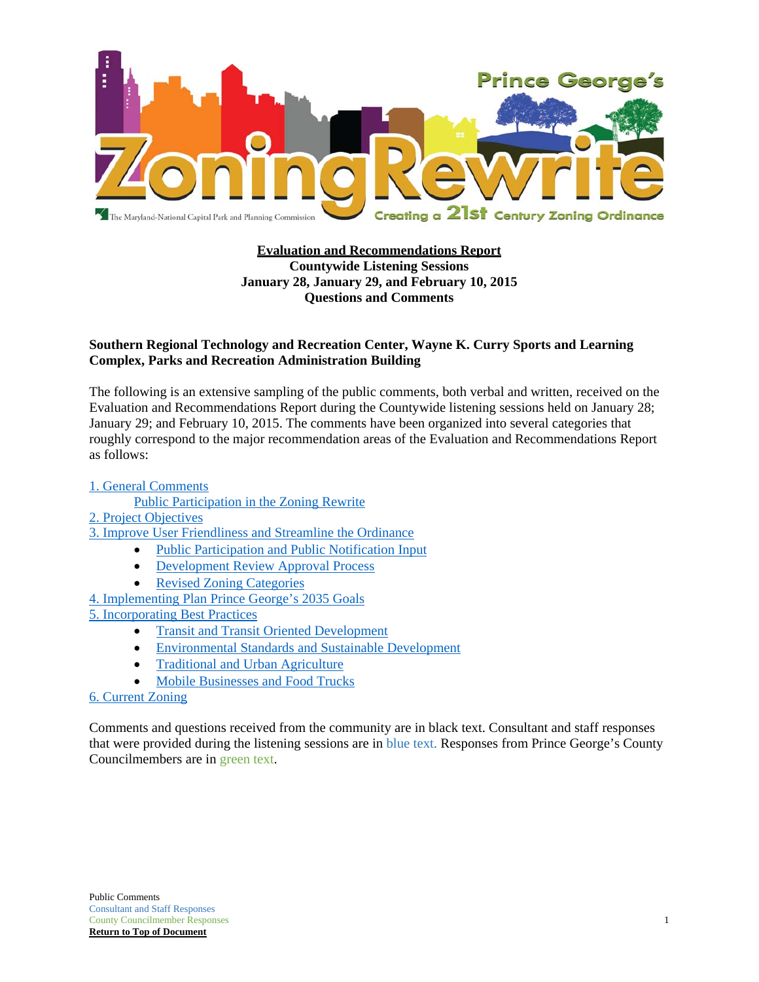

#### **Evaluation and Recommendations Report Countywide Listening Sessions January 28, January 29, and February 10, 2015 Questions and Comments**

#### **Southern Regional Technology and Recreation Center, Wayne K. Curry Sports and Learning Complex, Parks and Recreation Administration Building**

The following is an extensive sampling of the public comments, both verbal and written, received on the Evaluation and Recommendations Report during the Countywide listening sessions held on January 28; January 29; and February 10, 2015. The comments have been organized into several categories that roughly correspond to the major recommendation areas of the Evaluation and Recommendations Report as follows:

#### 1. General Comments

- Public Participation in the Zoning Rewrite
- 2. Project Objectives
- 3. Improve User Friendliness and Streamline the Ordinance
	- Public Participation and Public Notification Input
	- Development Review Approval Process
	- Revised Zoning Categories

4. Implementing Plan Prince George's 2035 Goals

5. Incorporating Best Practices

- Transit and Transit Oriented Development
- Environmental Standards and Sustainable Development
- Traditional and Urban Agriculture
- Mobile Businesses and Food Trucks

#### 6. Current Zoning

Comments and questions received from the community are in black text. Consultant and staff responses that were provided during the listening sessions are in blue text. Responses from Prince George's County Councilmembers are in green text.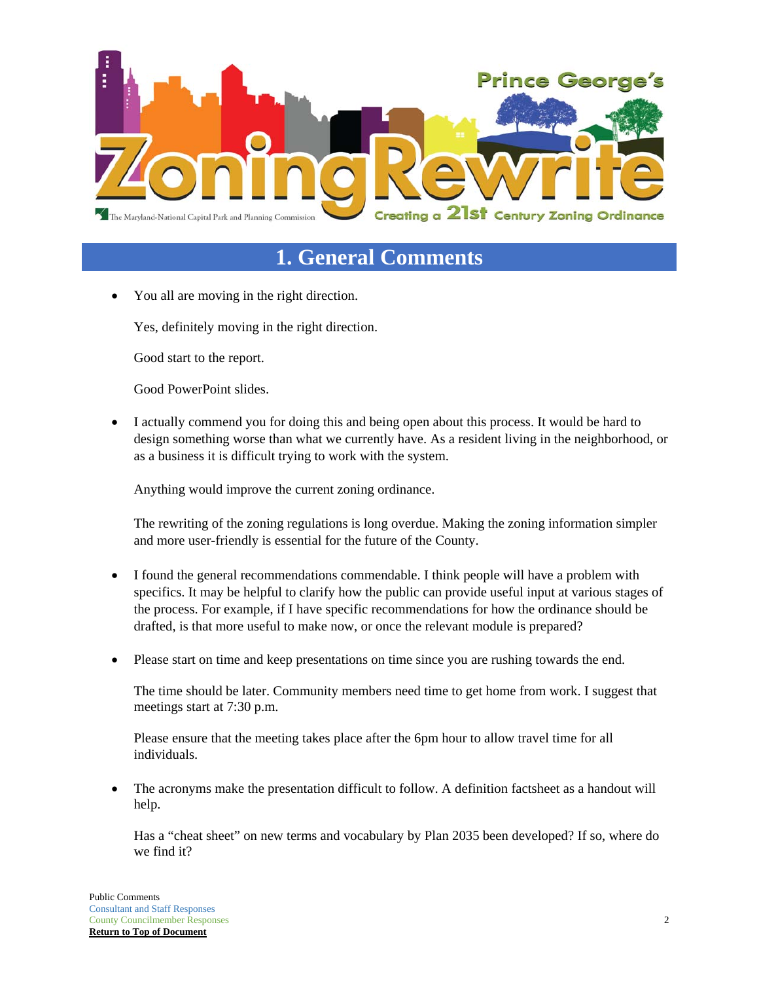

# **1. General Comments**

You all are moving in the right direction.

Yes, definitely moving in the right direction.

Good start to the report.

Good PowerPoint slides.

 I actually commend you for doing this and being open about this process. It would be hard to design something worse than what we currently have. As a resident living in the neighborhood, or as a business it is difficult trying to work with the system.

Anything would improve the current zoning ordinance.

The rewriting of the zoning regulations is long overdue. Making the zoning information simpler and more user-friendly is essential for the future of the County.

- I found the general recommendations commendable. I think people will have a problem with specifics. It may be helpful to clarify how the public can provide useful input at various stages of the process. For example, if I have specific recommendations for how the ordinance should be drafted, is that more useful to make now, or once the relevant module is prepared?
- Please start on time and keep presentations on time since you are rushing towards the end.

The time should be later. Community members need time to get home from work. I suggest that meetings start at 7:30 p.m.

Please ensure that the meeting takes place after the 6pm hour to allow travel time for all individuals.

 The acronyms make the presentation difficult to follow. A definition factsheet as a handout will help.

Has a "cheat sheet" on new terms and vocabulary by Plan 2035 been developed? If so, where do we find it?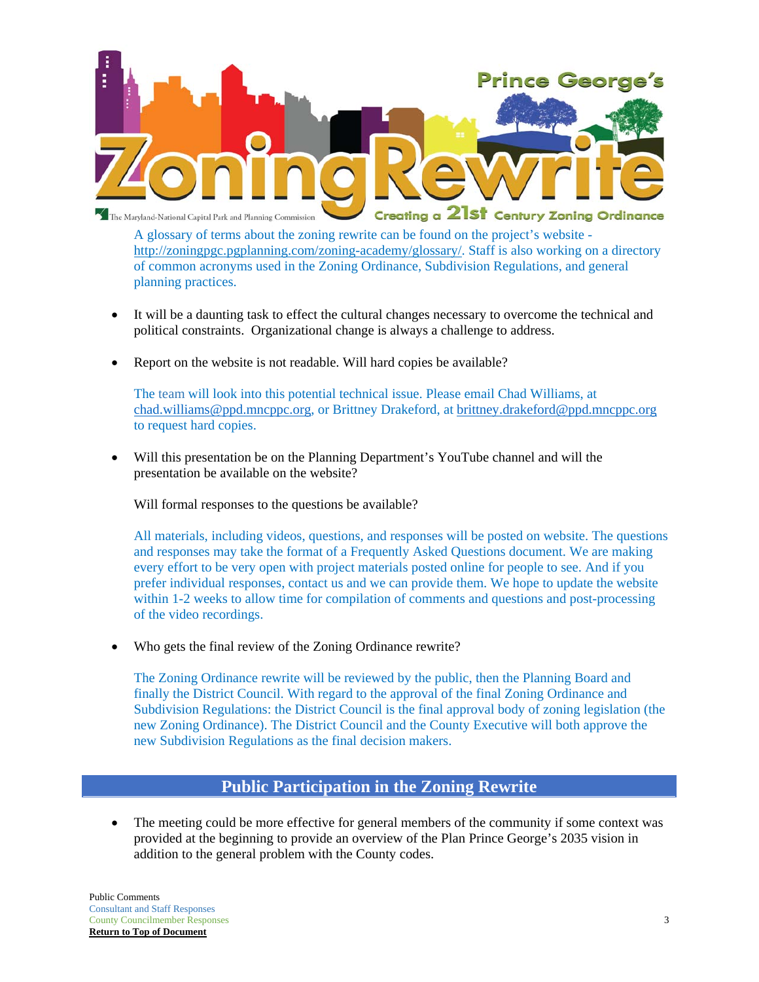

A glossary of terms about the zoning rewrite can be found on the project's website http://zoningpgc.pgplanning.com/zoning-academy/glossary/. Staff is also working on a directory of common acronyms used in the Zoning Ordinance, Subdivision Regulations, and general planning practices.

- It will be a daunting task to effect the cultural changes necessary to overcome the technical and political constraints. Organizational change is always a challenge to address.
- Report on the website is not readable. Will hard copies be available?

The team will look into this potential technical issue. Please email Chad Williams, at chad.williams@ppd.mncppc.org, or Brittney Drakeford, at brittney.drakeford@ppd.mncppc.org to request hard copies.

 Will this presentation be on the Planning Department's YouTube channel and will the presentation be available on the website?

Will formal responses to the questions be available?

All materials, including videos, questions, and responses will be posted on website. The questions and responses may take the format of a Frequently Asked Questions document. We are making every effort to be very open with project materials posted online for people to see. And if you prefer individual responses, contact us and we can provide them. We hope to update the website within 1-2 weeks to allow time for compilation of comments and questions and post-processing of the video recordings.

Who gets the final review of the Zoning Ordinance rewrite?

The Zoning Ordinance rewrite will be reviewed by the public, then the Planning Board and finally the District Council. With regard to the approval of the final Zoning Ordinance and Subdivision Regulations: the District Council is the final approval body of zoning legislation (the new Zoning Ordinance). The District Council and the County Executive will both approve the new Subdivision Regulations as the final decision makers.

### **Public Participation in the Zoning Rewrite**

 The meeting could be more effective for general members of the community if some context was provided at the beginning to provide an overview of the Plan Prince George's 2035 vision in addition to the general problem with the County codes.

Public Comments Consultant and Staff Responses County Councilmember Responses 3 **Return to Top of Document**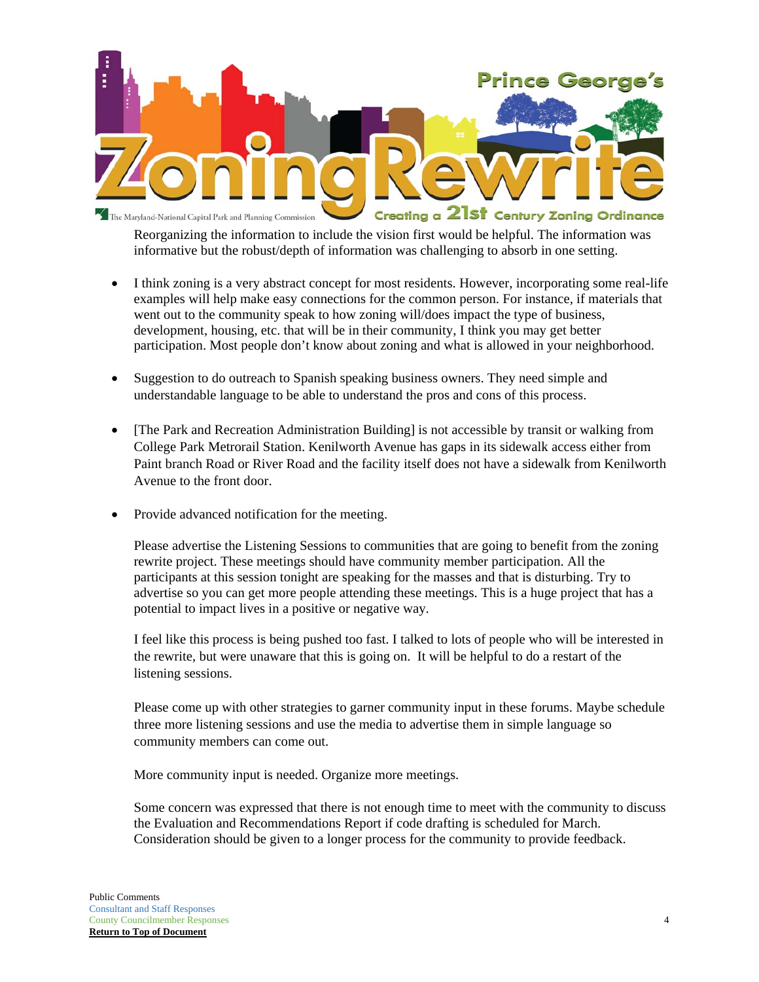

Reorganizing the information to include the vision first would be helpful. The information was informative but the robust/depth of information was challenging to absorb in one setting.

- I think zoning is a very abstract concept for most residents. However, incorporating some real-life examples will help make easy connections for the common person. For instance, if materials that went out to the community speak to how zoning will/does impact the type of business, development, housing, etc. that will be in their community, I think you may get better participation. Most people don't know about zoning and what is allowed in your neighborhood.
- Suggestion to do outreach to Spanish speaking business owners. They need simple and understandable language to be able to understand the pros and cons of this process.
- [The Park and Recreation Administration Building] is not accessible by transit or walking from College Park Metrorail Station. Kenilworth Avenue has gaps in its sidewalk access either from Paint branch Road or River Road and the facility itself does not have a sidewalk from Kenilworth Avenue to the front door.
- Provide advanced notification for the meeting.

Please advertise the Listening Sessions to communities that are going to benefit from the zoning rewrite project. These meetings should have community member participation. All the participants at this session tonight are speaking for the masses and that is disturbing. Try to advertise so you can get more people attending these meetings. This is a huge project that has a potential to impact lives in a positive or negative way.

I feel like this process is being pushed too fast. I talked to lots of people who will be interested in the rewrite, but were unaware that this is going on. It will be helpful to do a restart of the listening sessions.

Please come up with other strategies to garner community input in these forums. Maybe schedule three more listening sessions and use the media to advertise them in simple language so community members can come out.

More community input is needed. Organize more meetings.

Some concern was expressed that there is not enough time to meet with the community to discuss the Evaluation and Recommendations Report if code drafting is scheduled for March. Consideration should be given to a longer process for the community to provide feedback.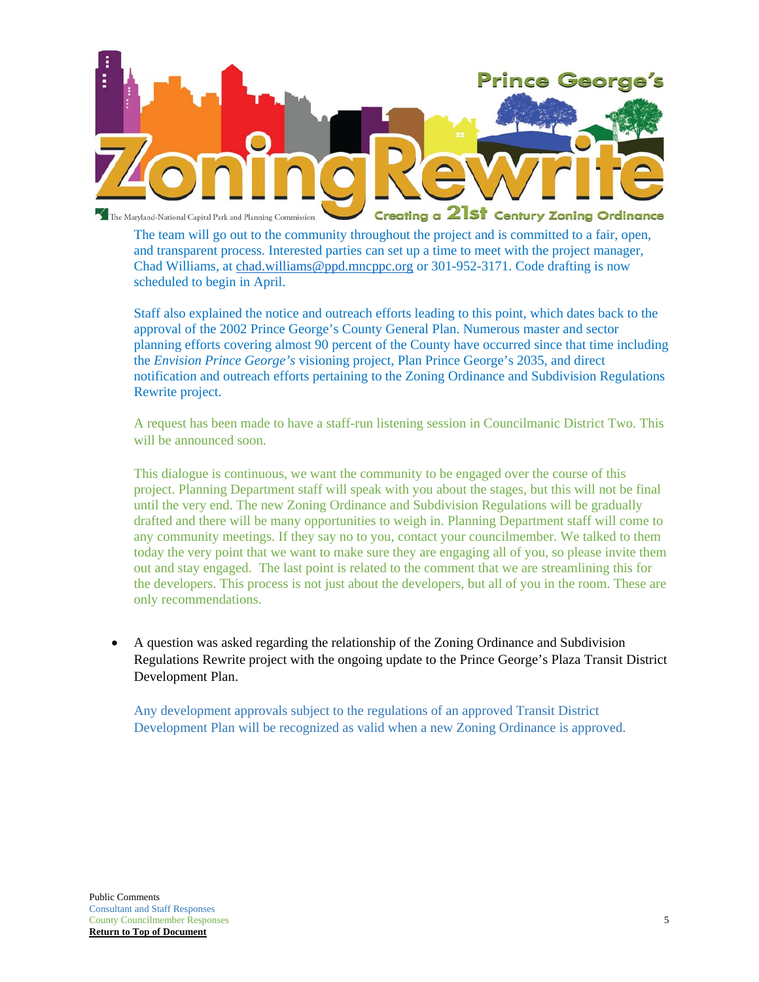

The team will go out to the community throughout the project and is committed to a fair, open, and transparent process. Interested parties can set up a time to meet with the project manager, Chad Williams, at chad.williams@ppd.mncppc.org or 301-952-3171. Code drafting is now scheduled to begin in April.

Staff also explained the notice and outreach efforts leading to this point, which dates back to the approval of the 2002 Prince George's County General Plan. Numerous master and sector planning efforts covering almost 90 percent of the County have occurred since that time including the *Envision Prince George's* visioning project, Plan Prince George's 2035, and direct notification and outreach efforts pertaining to the Zoning Ordinance and Subdivision Regulations Rewrite project.

A request has been made to have a staff-run listening session in Councilmanic District Two. This will be announced soon.

This dialogue is continuous, we want the community to be engaged over the course of this project. Planning Department staff will speak with you about the stages, but this will not be final until the very end. The new Zoning Ordinance and Subdivision Regulations will be gradually drafted and there will be many opportunities to weigh in. Planning Department staff will come to any community meetings. If they say no to you, contact your councilmember. We talked to them today the very point that we want to make sure they are engaging all of you, so please invite them out and stay engaged. The last point is related to the comment that we are streamlining this for the developers. This process is not just about the developers, but all of you in the room. These are only recommendations.

 A question was asked regarding the relationship of the Zoning Ordinance and Subdivision Regulations Rewrite project with the ongoing update to the Prince George's Plaza Transit District Development Plan.

Any development approvals subject to the regulations of an approved Transit District Development Plan will be recognized as valid when a new Zoning Ordinance is approved.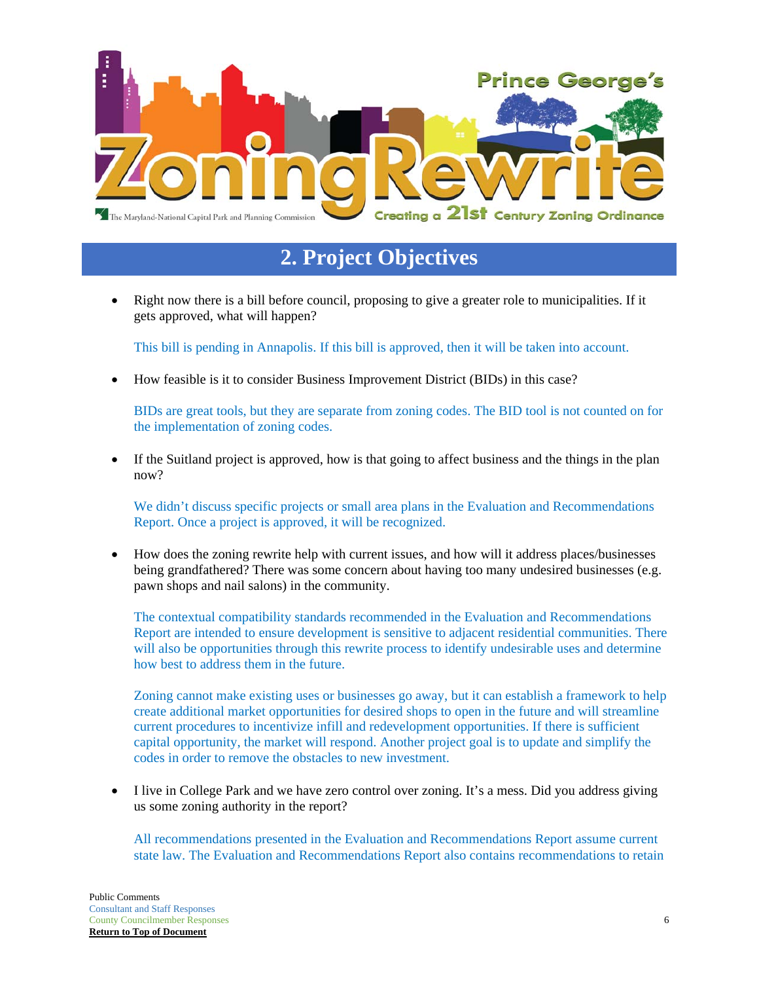

# **2. Project Objectives**

 Right now there is a bill before council, proposing to give a greater role to municipalities. If it gets approved, what will happen?

This bill is pending in Annapolis. If this bill is approved, then it will be taken into account.

How feasible is it to consider Business Improvement District (BIDs) in this case?

BIDs are great tools, but they are separate from zoning codes. The BID tool is not counted on for the implementation of zoning codes.

 If the Suitland project is approved, how is that going to affect business and the things in the plan now?

We didn't discuss specific projects or small area plans in the Evaluation and Recommendations Report. Once a project is approved, it will be recognized.

 How does the zoning rewrite help with current issues, and how will it address places/businesses being grandfathered? There was some concern about having too many undesired businesses (e.g. pawn shops and nail salons) in the community.

The contextual compatibility standards recommended in the Evaluation and Recommendations Report are intended to ensure development is sensitive to adjacent residential communities. There will also be opportunities through this rewrite process to identify undesirable uses and determine how best to address them in the future.

Zoning cannot make existing uses or businesses go away, but it can establish a framework to help create additional market opportunities for desired shops to open in the future and will streamline current procedures to incentivize infill and redevelopment opportunities. If there is sufficient capital opportunity, the market will respond. Another project goal is to update and simplify the codes in order to remove the obstacles to new investment.

 I live in College Park and we have zero control over zoning. It's a mess. Did you address giving us some zoning authority in the report?

All recommendations presented in the Evaluation and Recommendations Report assume current state law. The Evaluation and Recommendations Report also contains recommendations to retain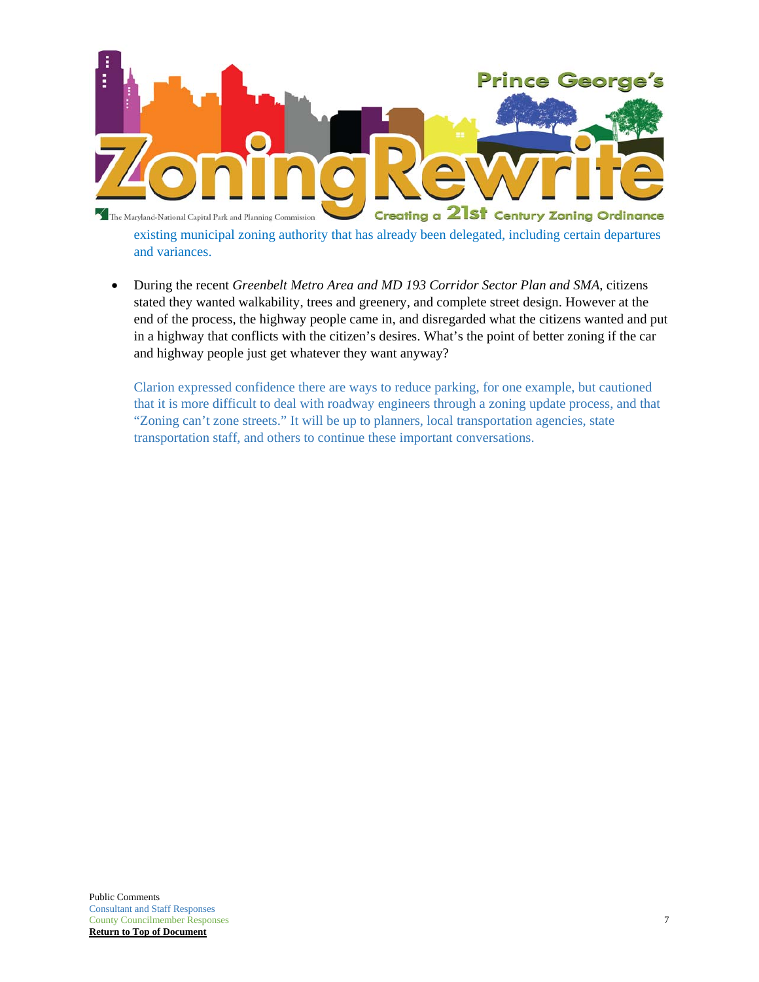

existing municipal zoning authority that has already been delegated, including certain departures and variances.

 During the recent *Greenbelt Metro Area and MD 193 Corridor Sector Plan and SMA*, citizens stated they wanted walkability, trees and greenery, and complete street design. However at the end of the process, the highway people came in, and disregarded what the citizens wanted and put in a highway that conflicts with the citizen's desires. What's the point of better zoning if the car and highway people just get whatever they want anyway?

Clarion expressed confidence there are ways to reduce parking, for one example, but cautioned that it is more difficult to deal with roadway engineers through a zoning update process, and that "Zoning can't zone streets." It will be up to planners, local transportation agencies, state transportation staff, and others to continue these important conversations.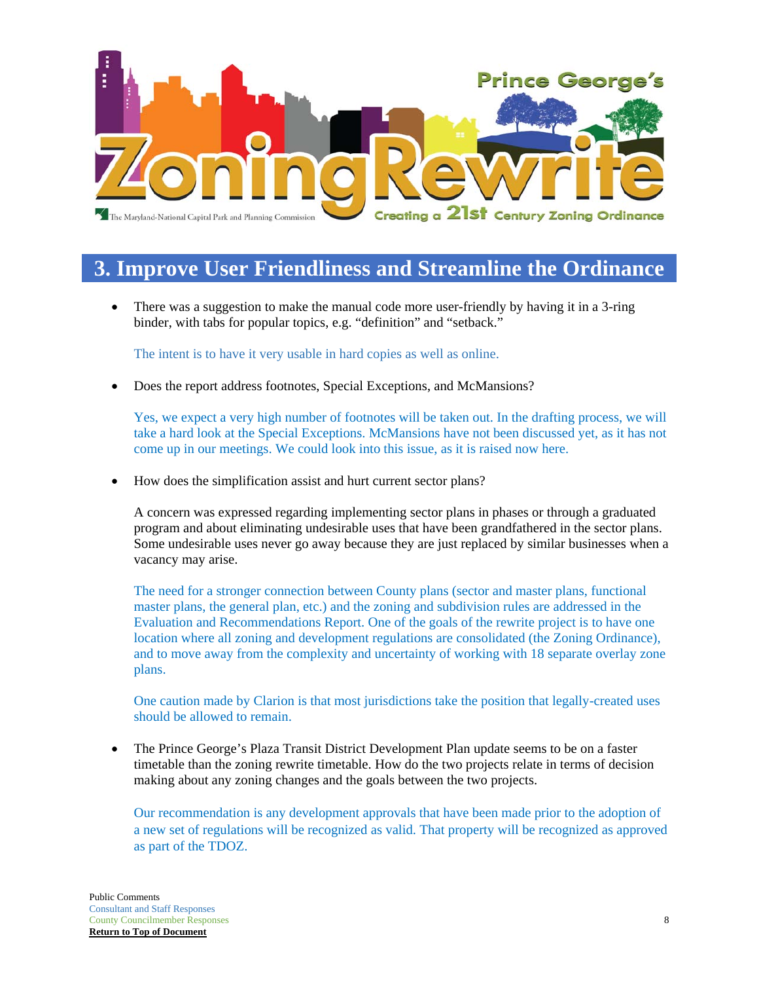

## **3. Improve User Friendliness and Streamline the Ordinance**

 There was a suggestion to make the manual code more user-friendly by having it in a 3-ring binder, with tabs for popular topics, e.g. "definition" and "setback."

The intent is to have it very usable in hard copies as well as online.

Does the report address footnotes, Special Exceptions, and McMansions?

Yes, we expect a very high number of footnotes will be taken out. In the drafting process, we will take a hard look at the Special Exceptions. McMansions have not been discussed yet, as it has not come up in our meetings. We could look into this issue, as it is raised now here.

• How does the simplification assist and hurt current sector plans?

A concern was expressed regarding implementing sector plans in phases or through a graduated program and about eliminating undesirable uses that have been grandfathered in the sector plans. Some undesirable uses never go away because they are just replaced by similar businesses when a vacancy may arise.

The need for a stronger connection between County plans (sector and master plans, functional master plans, the general plan, etc.) and the zoning and subdivision rules are addressed in the Evaluation and Recommendations Report. One of the goals of the rewrite project is to have one location where all zoning and development regulations are consolidated (the Zoning Ordinance), and to move away from the complexity and uncertainty of working with 18 separate overlay zone plans.

One caution made by Clarion is that most jurisdictions take the position that legally-created uses should be allowed to remain.

• The Prince George's Plaza Transit District Development Plan update seems to be on a faster timetable than the zoning rewrite timetable. How do the two projects relate in terms of decision making about any zoning changes and the goals between the two projects.

Our recommendation is any development approvals that have been made prior to the adoption of a new set of regulations will be recognized as valid. That property will be recognized as approved as part of the TDOZ.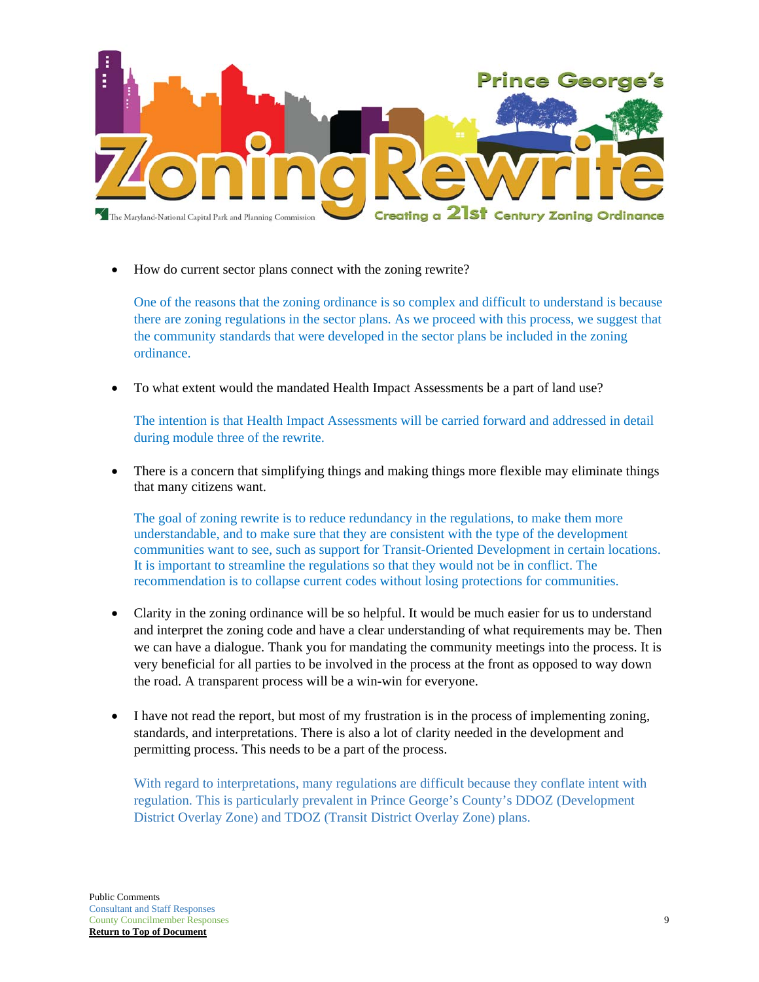

How do current sector plans connect with the zoning rewrite?

One of the reasons that the zoning ordinance is so complex and difficult to understand is because there are zoning regulations in the sector plans. As we proceed with this process, we suggest that the community standards that were developed in the sector plans be included in the zoning ordinance.

To what extent would the mandated Health Impact Assessments be a part of land use?

The intention is that Health Impact Assessments will be carried forward and addressed in detail during module three of the rewrite.

 There is a concern that simplifying things and making things more flexible may eliminate things that many citizens want.

The goal of zoning rewrite is to reduce redundancy in the regulations, to make them more understandable, and to make sure that they are consistent with the type of the development communities want to see, such as support for Transit-Oriented Development in certain locations. It is important to streamline the regulations so that they would not be in conflict. The recommendation is to collapse current codes without losing protections for communities.

- Clarity in the zoning ordinance will be so helpful. It would be much easier for us to understand and interpret the zoning code and have a clear understanding of what requirements may be. Then we can have a dialogue. Thank you for mandating the community meetings into the process. It is very beneficial for all parties to be involved in the process at the front as opposed to way down the road. A transparent process will be a win-win for everyone.
- I have not read the report, but most of my frustration is in the process of implementing zoning, standards, and interpretations. There is also a lot of clarity needed in the development and permitting process. This needs to be a part of the process.

With regard to interpretations, many regulations are difficult because they conflate intent with regulation. This is particularly prevalent in Prince George's County's DDOZ (Development District Overlay Zone) and TDOZ (Transit District Overlay Zone) plans.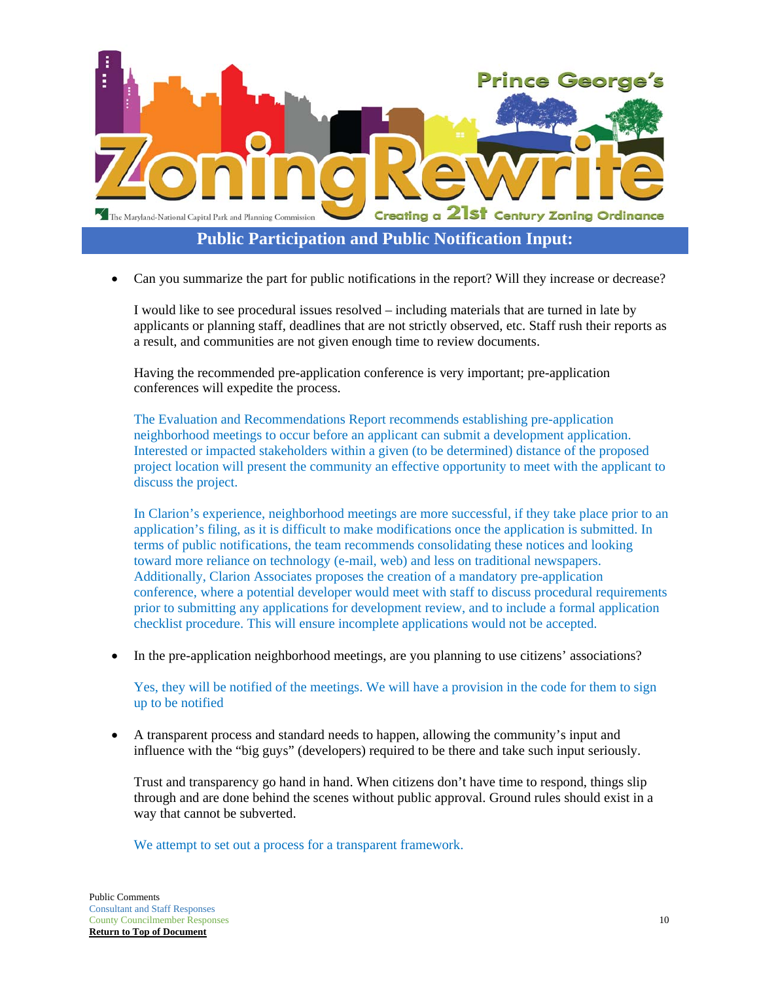

**Public Participation and Public Notification Input:** 

Can you summarize the part for public notifications in the report? Will they increase or decrease?

I would like to see procedural issues resolved – including materials that are turned in late by applicants or planning staff, deadlines that are not strictly observed, etc. Staff rush their reports as a result, and communities are not given enough time to review documents.

Having the recommended pre-application conference is very important; pre-application conferences will expedite the process.

The Evaluation and Recommendations Report recommends establishing pre-application neighborhood meetings to occur before an applicant can submit a development application. Interested or impacted stakeholders within a given (to be determined) distance of the proposed project location will present the community an effective opportunity to meet with the applicant to discuss the project.

In Clarion's experience, neighborhood meetings are more successful, if they take place prior to an application's filing, as it is difficult to make modifications once the application is submitted. In terms of public notifications, the team recommends consolidating these notices and looking toward more reliance on technology (e-mail, web) and less on traditional newspapers. Additionally, Clarion Associates proposes the creation of a mandatory pre-application conference, where a potential developer would meet with staff to discuss procedural requirements prior to submitting any applications for development review, and to include a formal application checklist procedure. This will ensure incomplete applications would not be accepted.

In the pre-application neighborhood meetings, are you planning to use citizens' associations?

Yes, they will be notified of the meetings. We will have a provision in the code for them to sign up to be notified

 A transparent process and standard needs to happen, allowing the community's input and influence with the "big guys" (developers) required to be there and take such input seriously.

Trust and transparency go hand in hand. When citizens don't have time to respond, things slip through and are done behind the scenes without public approval. Ground rules should exist in a way that cannot be subverted.

We attempt to set out a process for a transparent framework.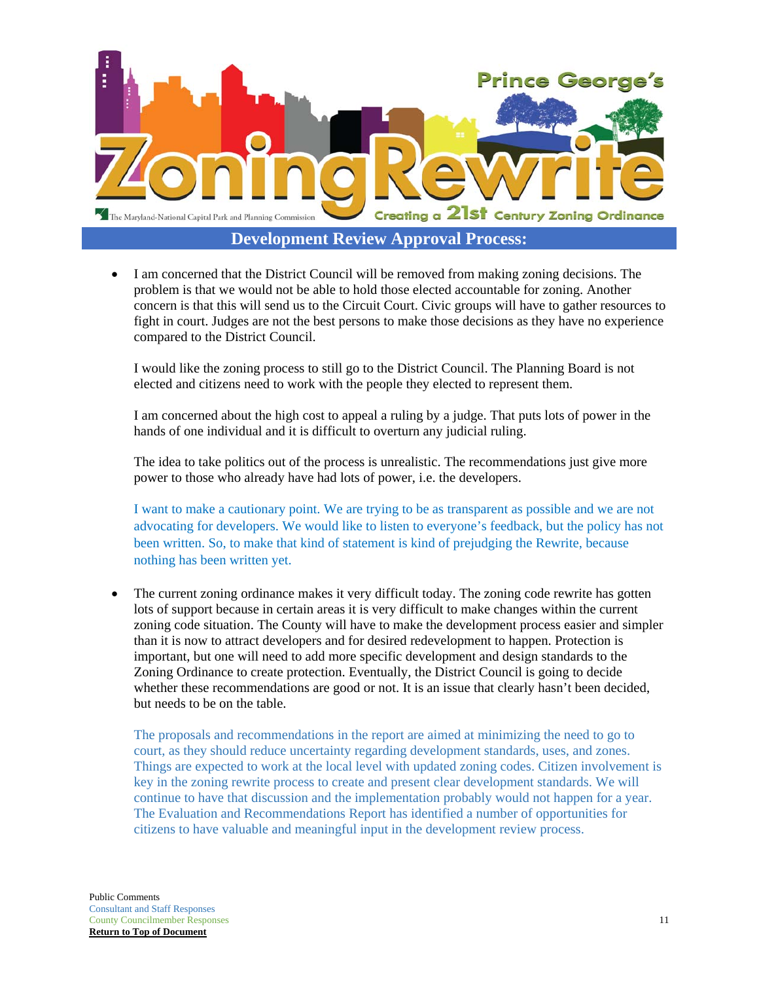

**Development Review Approval Process:** 

 I am concerned that the District Council will be removed from making zoning decisions. The problem is that we would not be able to hold those elected accountable for zoning. Another concern is that this will send us to the Circuit Court. Civic groups will have to gather resources to fight in court. Judges are not the best persons to make those decisions as they have no experience compared to the District Council.

I would like the zoning process to still go to the District Council. The Planning Board is not elected and citizens need to work with the people they elected to represent them.

I am concerned about the high cost to appeal a ruling by a judge. That puts lots of power in the hands of one individual and it is difficult to overturn any judicial ruling.

The idea to take politics out of the process is unrealistic. The recommendations just give more power to those who already have had lots of power, i.e. the developers.

I want to make a cautionary point. We are trying to be as transparent as possible and we are not advocating for developers. We would like to listen to everyone's feedback, but the policy has not been written. So, to make that kind of statement is kind of prejudging the Rewrite, because nothing has been written yet.

 The current zoning ordinance makes it very difficult today. The zoning code rewrite has gotten lots of support because in certain areas it is very difficult to make changes within the current zoning code situation. The County will have to make the development process easier and simpler than it is now to attract developers and for desired redevelopment to happen. Protection is important, but one will need to add more specific development and design standards to the Zoning Ordinance to create protection. Eventually, the District Council is going to decide whether these recommendations are good or not. It is an issue that clearly hasn't been decided, but needs to be on the table.

The proposals and recommendations in the report are aimed at minimizing the need to go to court, as they should reduce uncertainty regarding development standards, uses, and zones. Things are expected to work at the local level with updated zoning codes. Citizen involvement is key in the zoning rewrite process to create and present clear development standards. We will continue to have that discussion and the implementation probably would not happen for a year. The Evaluation and Recommendations Report has identified a number of opportunities for citizens to have valuable and meaningful input in the development review process.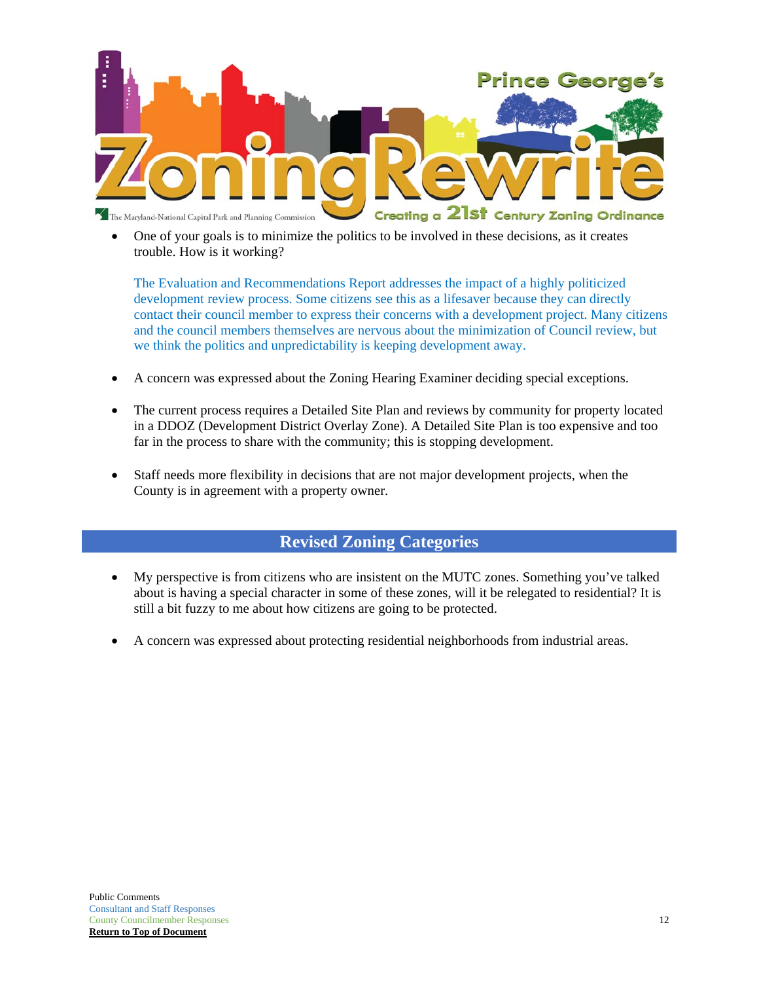

 One of your goals is to minimize the politics to be involved in these decisions, as it creates trouble. How is it working?

The Evaluation and Recommendations Report addresses the impact of a highly politicized development review process. Some citizens see this as a lifesaver because they can directly contact their council member to express their concerns with a development project. Many citizens and the council members themselves are nervous about the minimization of Council review, but we think the politics and unpredictability is keeping development away.

- A concern was expressed about the Zoning Hearing Examiner deciding special exceptions.
- The current process requires a Detailed Site Plan and reviews by community for property located in a DDOZ (Development District Overlay Zone). A Detailed Site Plan is too expensive and too far in the process to share with the community; this is stopping development.
- Staff needs more flexibility in decisions that are not major development projects, when the County is in agreement with a property owner.

#### **Revised Zoning Categories**

- My perspective is from citizens who are insistent on the MUTC zones. Something you've talked about is having a special character in some of these zones, will it be relegated to residential? It is still a bit fuzzy to me about how citizens are going to be protected.
- A concern was expressed about protecting residential neighborhoods from industrial areas.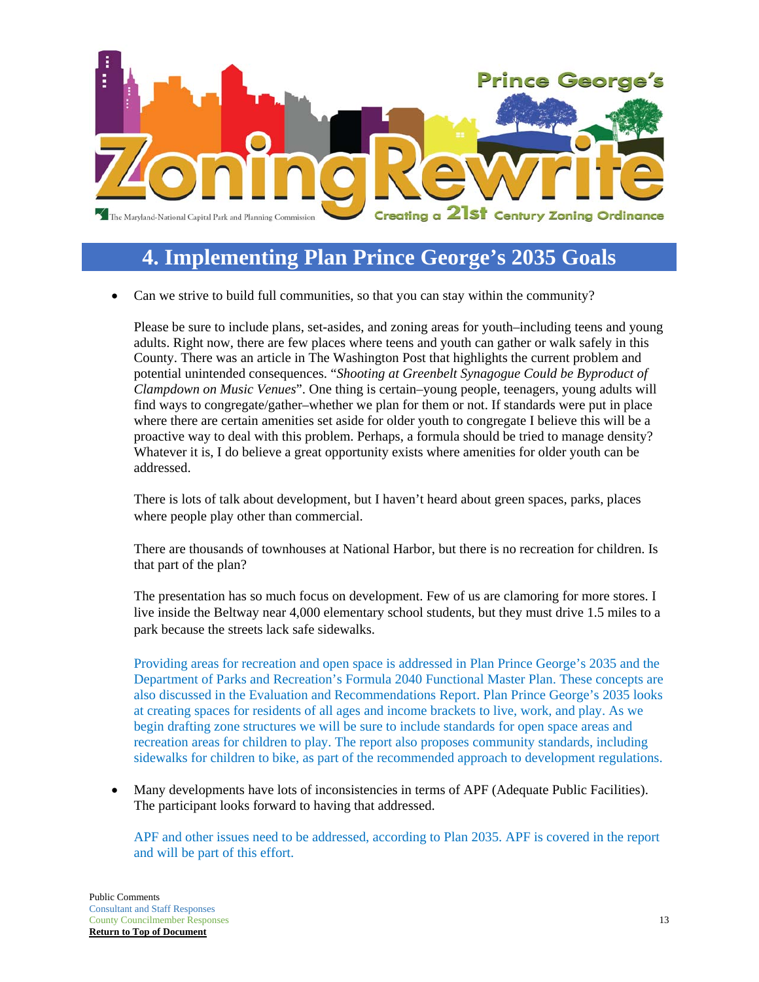

## **4. Implementing Plan Prince George's 2035 Goals**

Can we strive to build full communities, so that you can stay within the community?

Please be sure to include plans, set-asides, and zoning areas for youth–including teens and young adults. Right now, there are few places where teens and youth can gather or walk safely in this County. There was an article in The Washington Post that highlights the current problem and potential unintended consequences. "*Shooting at Greenbelt Synagogue Could be Byproduct of Clampdown on Music Venues*". One thing is certain–young people, teenagers, young adults will find ways to congregate/gather–whether we plan for them or not. If standards were put in place where there are certain amenities set aside for older youth to congregate I believe this will be a proactive way to deal with this problem. Perhaps, a formula should be tried to manage density? Whatever it is, I do believe a great opportunity exists where amenities for older youth can be addressed.

There is lots of talk about development, but I haven't heard about green spaces, parks, places where people play other than commercial.

There are thousands of townhouses at National Harbor, but there is no recreation for children. Is that part of the plan?

The presentation has so much focus on development. Few of us are clamoring for more stores. I live inside the Beltway near 4,000 elementary school students, but they must drive 1.5 miles to a park because the streets lack safe sidewalks.

Providing areas for recreation and open space is addressed in Plan Prince George's 2035 and the Department of Parks and Recreation's Formula 2040 Functional Master Plan. These concepts are also discussed in the Evaluation and Recommendations Report. Plan Prince George's 2035 looks at creating spaces for residents of all ages and income brackets to live, work, and play. As we begin drafting zone structures we will be sure to include standards for open space areas and recreation areas for children to play. The report also proposes community standards, including sidewalks for children to bike, as part of the recommended approach to development regulations.

 Many developments have lots of inconsistencies in terms of APF (Adequate Public Facilities). The participant looks forward to having that addressed.

APF and other issues need to be addressed, according to Plan 2035. APF is covered in the report and will be part of this effort.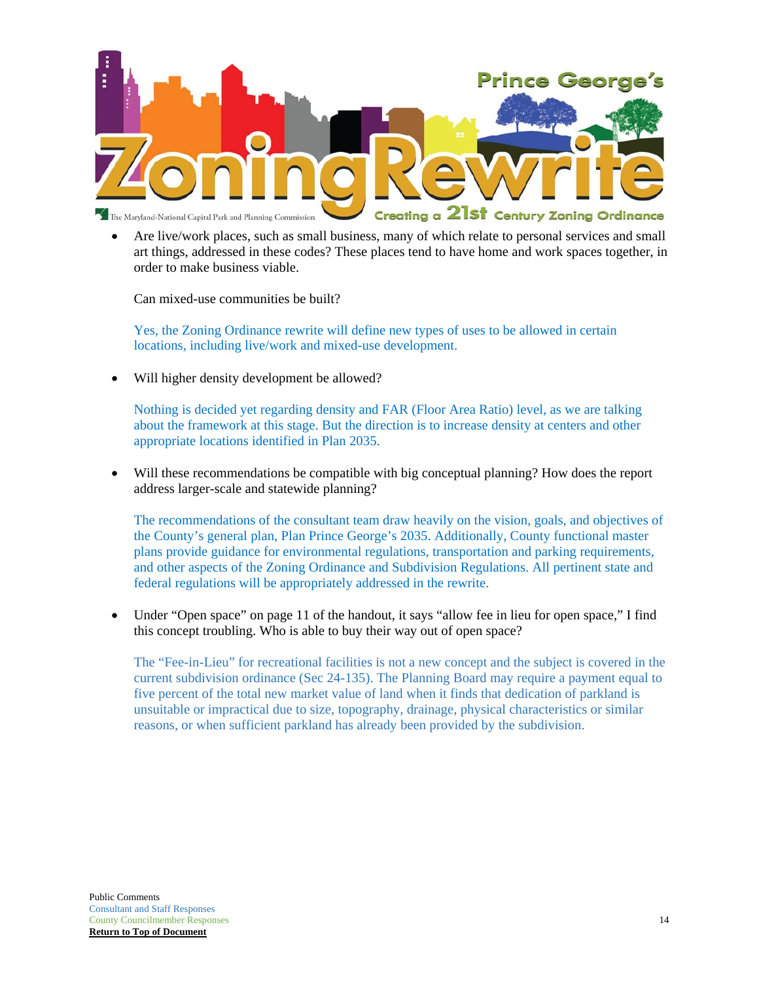

 Are live/work places, such as small business, many of which relate to personal services and small art things, addressed in these codes? These places tend to have home and work spaces together, in order to make business viable.

Can mixed-use communities be built?

Yes, the Zoning Ordinance rewrite will define new types of uses to be allowed in certain locations, including live/work and mixed-use development.

Will higher density development be allowed?

Nothing is decided yet regarding density and FAR (Floor Area Ratio) level, as we are talking about the framework at this stage. But the direction is to increase density at centers and other appropriate locations identified in Plan 2035.

 Will these recommendations be compatible with big conceptual planning? How does the report address larger-scale and statewide planning?

The recommendations of the consultant team draw heavily on the vision, goals, and objectives of the County's general plan, Plan Prince George's 2035. Additionally, County functional master plans provide guidance for environmental regulations, transportation and parking requirements, and other aspects of the Zoning Ordinance and Subdivision Regulations. All pertinent state and federal regulations will be appropriately addressed in the rewrite.

 Under "Open space" on page 11 of the handout, it says "allow fee in lieu for open space," I find this concept troubling. Who is able to buy their way out of open space?

The "Fee-in-Lieu" for recreational facilities is not a new concept and the subject is covered in the current subdivision ordinance (Sec 24-135). The Planning Board may require a payment equal to five percent of the total new market value of land when it finds that dedication of parkland is unsuitable or impractical due to size, topography, drainage, physical characteristics or similar reasons, or when sufficient parkland has already been provided by the subdivision.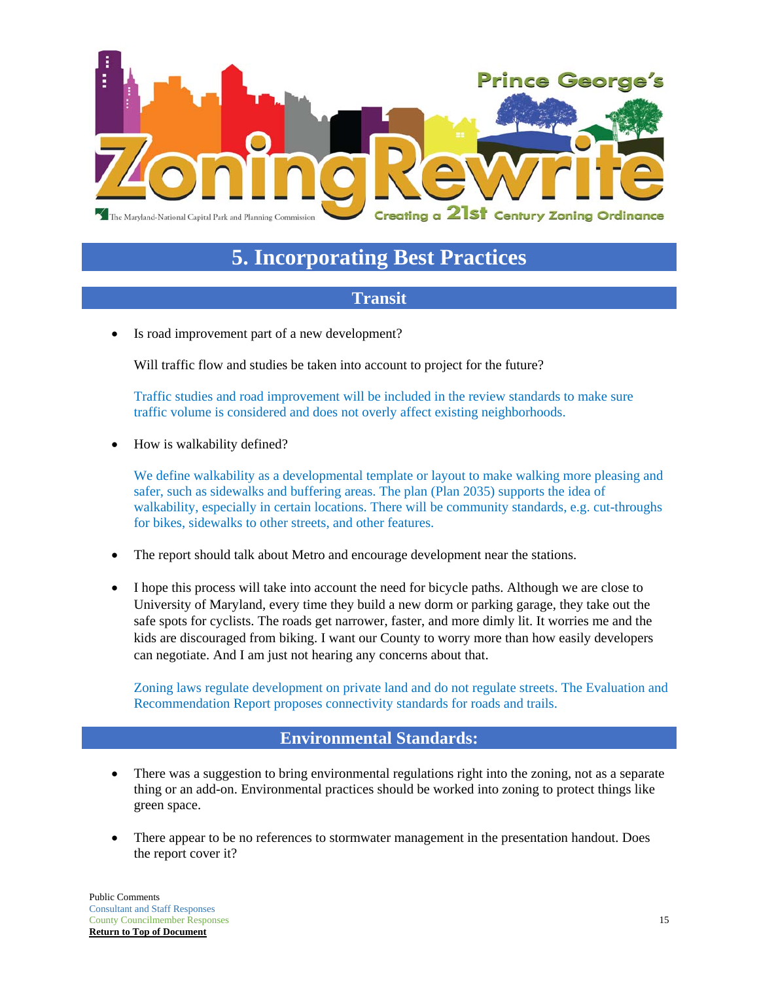

## **5. Incorporating Best Practices**

### **Transit**

Is road improvement part of a new development?

Will traffic flow and studies be taken into account to project for the future?

Traffic studies and road improvement will be included in the review standards to make sure traffic volume is considered and does not overly affect existing neighborhoods.

How is walkability defined?

We define walkability as a developmental template or layout to make walking more pleasing and safer, such as sidewalks and buffering areas. The plan (Plan 2035) supports the idea of walkability, especially in certain locations. There will be community standards, e.g. cut-throughs for bikes, sidewalks to other streets, and other features.

- The report should talk about Metro and encourage development near the stations.
- I hope this process will take into account the need for bicycle paths. Although we are close to University of Maryland, every time they build a new dorm or parking garage, they take out the safe spots for cyclists. The roads get narrower, faster, and more dimly lit. It worries me and the kids are discouraged from biking. I want our County to worry more than how easily developers can negotiate. And I am just not hearing any concerns about that.

Zoning laws regulate development on private land and do not regulate streets. The Evaluation and Recommendation Report proposes connectivity standards for roads and trails.

### **Environmental Standards:**

- There was a suggestion to bring environmental regulations right into the zoning, not as a separate thing or an add-on. Environmental practices should be worked into zoning to protect things like green space.
- There appear to be no references to stormwater management in the presentation handout. Does the report cover it?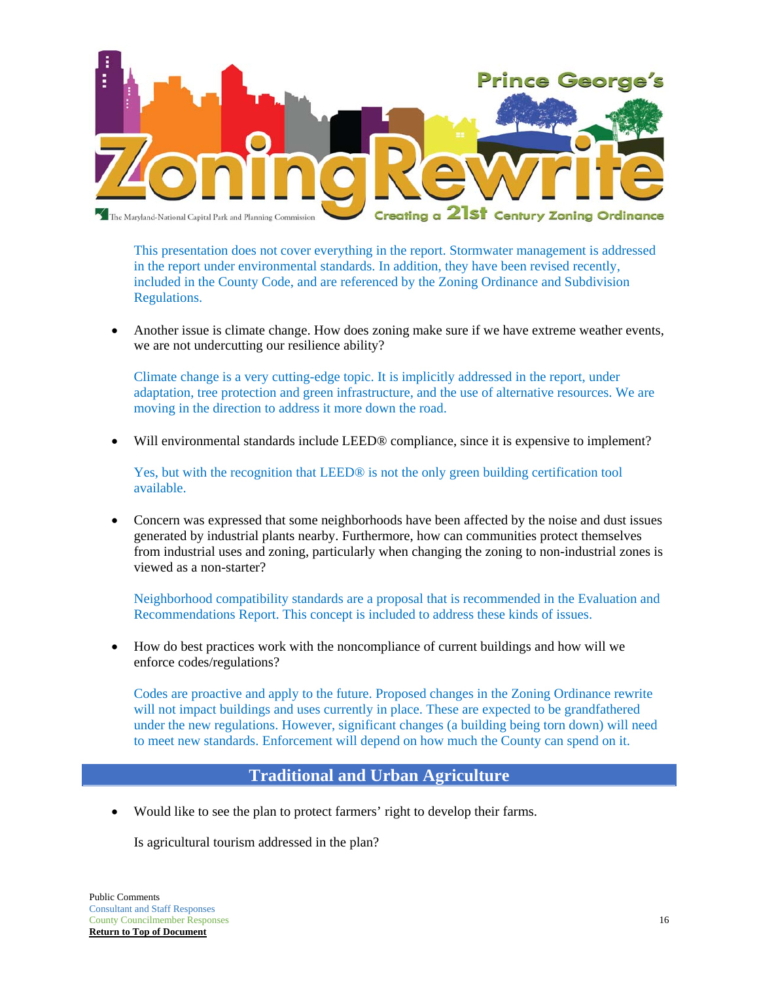

This presentation does not cover everything in the report. Stormwater management is addressed in the report under environmental standards. In addition, they have been revised recently, included in the County Code, and are referenced by the Zoning Ordinance and Subdivision Regulations.

 Another issue is climate change. How does zoning make sure if we have extreme weather events, we are not undercutting our resilience ability?

Climate change is a very cutting-edge topic. It is implicitly addressed in the report, under adaptation, tree protection and green infrastructure, and the use of alternative resources. We are moving in the direction to address it more down the road.

Will environmental standards include LEED® compliance, since it is expensive to implement?

Yes, but with the recognition that LEED® is not the only green building certification tool available.

 Concern was expressed that some neighborhoods have been affected by the noise and dust issues generated by industrial plants nearby. Furthermore, how can communities protect themselves from industrial uses and zoning, particularly when changing the zoning to non-industrial zones is viewed as a non-starter?

Neighborhood compatibility standards are a proposal that is recommended in the Evaluation and Recommendations Report. This concept is included to address these kinds of issues.

 How do best practices work with the noncompliance of current buildings and how will we enforce codes/regulations?

Codes are proactive and apply to the future. Proposed changes in the Zoning Ordinance rewrite will not impact buildings and uses currently in place. These are expected to be grandfathered under the new regulations. However, significant changes (a building being torn down) will need to meet new standards. Enforcement will depend on how much the County can spend on it.

### **Traditional and Urban Agriculture**

Would like to see the plan to protect farmers' right to develop their farms.

Is agricultural tourism addressed in the plan?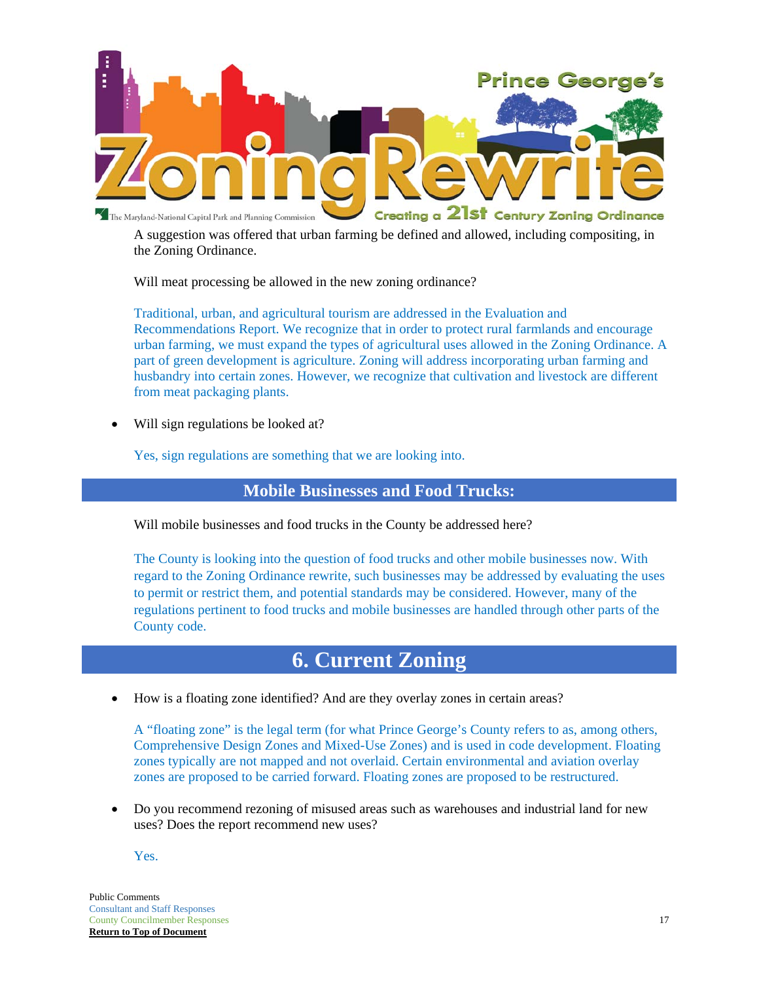

A suggestion was offered that urban farming be defined and allowed, including compositing, in the Zoning Ordinance.

Will meat processing be allowed in the new zoning ordinance?

Traditional, urban, and agricultural tourism are addressed in the Evaluation and Recommendations Report. We recognize that in order to protect rural farmlands and encourage urban farming, we must expand the types of agricultural uses allowed in the Zoning Ordinance. A part of green development is agriculture. Zoning will address incorporating urban farming and husbandry into certain zones. However, we recognize that cultivation and livestock are different from meat packaging plants.

Will sign regulations be looked at?

Yes, sign regulations are something that we are looking into.

#### **Mobile Businesses and Food Trucks:**

Will mobile businesses and food trucks in the County be addressed here?

The County is looking into the question of food trucks and other mobile businesses now. With regard to the Zoning Ordinance rewrite, such businesses may be addressed by evaluating the uses to permit or restrict them, and potential standards may be considered. However, many of the regulations pertinent to food trucks and mobile businesses are handled through other parts of the County code.

## **6. Current Zoning**

How is a floating zone identified? And are they overlay zones in certain areas?

A "floating zone" is the legal term (for what Prince George's County refers to as, among others, Comprehensive Design Zones and Mixed-Use Zones) and is used in code development. Floating zones typically are not mapped and not overlaid. Certain environmental and aviation overlay zones are proposed to be carried forward. Floating zones are proposed to be restructured.

 Do you recommend rezoning of misused areas such as warehouses and industrial land for new uses? Does the report recommend new uses?

Yes.

Public Comments Consultant and Staff Responses **County Councilmember Responses** 17 **Return to Top of Document**